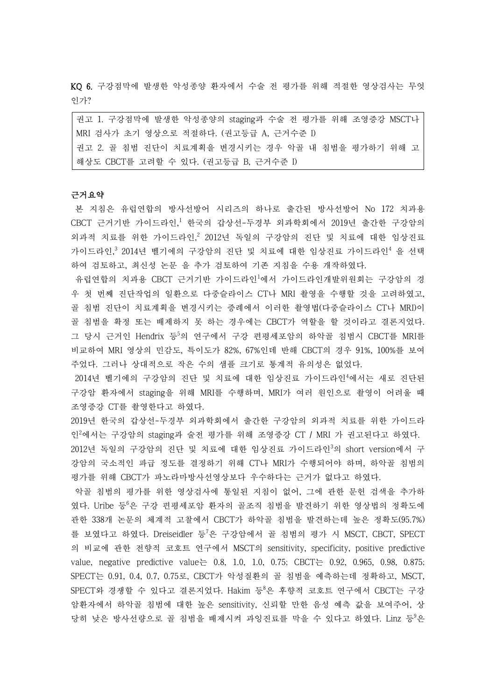KQ 6. 구강점막에 발생한 악성종양 환자에서 수술 전 평가를 위해 적절한 영상검사는 무엇 인가?

| 권고 1. 구강점막에 발생한 악성종양의 staging과 수술 전 평가를 위해 조영증강 MSCT나 |
|-------------------------------------------------------|
| MRI 검사가 초기 영상으로 적절하다. (권고등급 A, 근거수준 I)                |
| 권고 2. 골 침범 진단이 치료계획을 변경시키는 경우 악골 내 침범을 평가하기 위해 고      |
| 해상도 CBCT를 고려할 수 있다. (권고등급 B, 근거수준 I)                  |

# 근거요약

본 지침은 유럽연합의 방사선방어 시리즈의 하나로 출간된 방사선방어 No 172 치과용 CBCT 근거기반 가이드라인,<sup>1</sup> 한국의 갑상선-두경부 외과학회에서 2019년 출간한 구강암의 외과적 치료를 위한 가이드라인, 2012년 독일의 구강암의 진단 및 치료에 대한 임상진료 가이드라인,<sup>3</sup> 2014년 벨기에의 구강암의 진단 및 치료에 대한 임상진료 가이드라인<sup>4</sup> 을 선택 하여 검토하고, 최신성 논문 을 추가 검토하여 기존 지침을 수용 개작하였다.<br>- 유럽연합의 치과용 CBCT 근거기반 가이드라인<sup>1</sup>에서 가이드라인개발위원회는 구강암의 경

우 첫 번째 진단작업의 일환으로 다중슬라이스 CT나 MRI 촬영을 수행할 것을 고려하였고,<br>골 침범 진단이 치료계획을 변경시키는 증례에서 이러한 촬영법(다중슬라이스 CT나 MRI)이 골 침범을 확정 또는 배제하지 못 하는 경우에는 CBCT가 역할을 할 것이라고 결론지었다.<br>그 당시 근거인 Hendrix 등<sup>5</sup>의 연구에서 구강 편평세포암의 하악골 침범시 CBCT를 MRI를 비교하여 MRI 영상의 민감도, 특이도가 82%, 67%인데 반해 CBCT의 경우 91%, 100%를 보여 주었다. 그러나 상대적으로 작은 수의 샘플 크기로 통계적 유의성은 없었다.

2014년 벨기에의 구강암의 진단 및 치료에 대한 임상진료 가이드라인<sup>4</sup>에서는 새로 진단된 구강암 환자에서 staging을 위해 MRI를 수행하며, MRI가 여러 원인으로 촬영이 어려울 때 조영증강 CT를 촬영한다고 하였다.

2019년 한국의 갑상선-두경부 외과학회에서 출간한 구강암의 외과적 치료를 위한 가이드라 인<sup>2</sup>에서는 구강암의 staging과 술전 평가를 위해 조영증강 CT / MRI 가 권고된다고 하였다. 2012년 독일의 구강암의 진단 및 치료에 대한 임상진료 가이드라인<sup>3</sup>의 short version에서 구 강암의 국소적인 파급 정도를 결정하기 위해 CT나 MRI가 수행되어야 하며, 하악골 침범의

평가를 위해 CBCT가 파노라마방사선영상보다 우수하다는 근거가 없다고 하였다.<br>악골 침범의 평가를 위한 영상검사에 통일된 지침이 없어, 그에 관한 문헌 검색을 추가하

였다. Uribe 등<sup>6</sup>은 구강 편평세포암 환자의 골조직 침범을 발견하기 위한 영상법의 정확도에 관한 338개 논문의 체계적 고찰에서 CBCT가 하악골 침범을 발견하는데 높은 정확도(95.7%) 를 보였다고 하였다. Dreiseidler 등<sup>7</sup>은 구강암에서 골 침범의 평가 시 MSCT, CBCT, SPECT 의 비교에 관한 전향적 코호트 연구에서 MSCT의 sensitivity, specificity, positive predictive value, negative predictive value는 0.8, 1.0, 1.0, 0.75; CBCT는 0.92, 0.965, 0.98, 0.875; SPECT는 0.91, 0.4, 0.7, 0.75로, CBCT가 악성질환의 골 침범을 예측하는데 정확하고, MSCT, SPECT와 경쟁할 수 있다고 결론지었다. Hakim 등8은 후향적 코호트 연구에서 CBCT는 구강 암환자에서 하악골 침범에 대한 높은 sensitivity, 신뢰할 만한 음성 예측 값을 보여주어, 상 당히 낮은 방사선량으로 골 침범을 배제시켜 과잉진료를 막을 수 있다고 하였다. Linz 등<sup>9</sup>은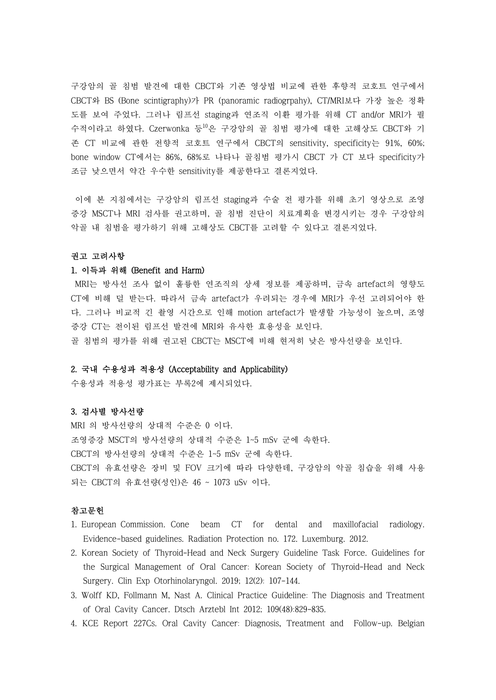구강암의 골 침범 발견에 대한 CBCT와 기존 영상법 비교에 관한 후향적 코호트 연구에서 CBCT와 BS (Bone scintigraphy)가 PR (panoramic radiogrpahy), CT/MRI보다 가장 높은 정확 도를 보여 주었다. 그러나 림프선 staging과 연조직 이환 평가를 위해 CT and/or MRI가 필 수적이라고 하였다. Czerwonka 등10은 구강암의 골 침범 평가에 대한 고해상도 CBCT와 기 존 CT 비교에 관한 전향적 코호트 연구에서 CBCT의 sensitivity, specificity는 91%, 60%; bone window CT에서는 86%, 68%로 나타나 골침범 평가시 CBCT 가 CT 보다 specificity가 조금 낮으면서 약간 우수한 sensitivity를 제공한다고 결론지었다.<br>이에 본 지침에서는 구강암의 림프선 staging과 수술 전 평가를 위해 초기 영상으로 조영

증강 MSCT나 MRI 검사를 권고하며, 골 침범 진단이 치료계획을 변경시키는 경우 구강암의 악골 내 침범을 평가하기 위해 고해상도 CBCT를 고려할 수 있다고 결론지었다.

#### 권고 고려사항

### 1. 이득과 위해 (Benefit and Harm)

MRI는 방사선 조사 없이 훌륭한 연조직의 상세 정보를 제공하며, 금속 artefact의 영향도 CT에 비해 덜 받는다. 따라서 금속 artefact가 우려되는 경우에 MRI가 우선 고려되어야 한 다. 그러나 비교적 긴 촬영 시간으로 인해 motion artefact가 발생할 가능성이 높으며, 조영 증강 CT는 전이된 림프선 발견에 MRI와 유사한 효용성을 보인다.<br>골 침범의 평가를 위해 권고된 CBCT는 MSCT에 비해 현저히 낮은 방사선량을 보인다.

## 2. 국내 수용성과 적용성 (Acceptability and Applicability)

수용성과 적용성 평가표는 부록2에 제시되었다.

## 3. 검사별 방사선량

MRI 의 방사선량의 상대적 수준은 0 이다.<br>조영증강 MSCT의 방사선량의 상대적 수준은 1~5 mSv 군에 속한다.<br>CBCT의 방사선량의 상대적 수준은 1~5 mSv 군에 속한다.<br>CBCT의 유효선량은 장비 및 FOV 크기에 따라 다양한데, 구강암의 악골 침습을 위해 사용 되는 CBCT의 유효선량(성인)은 46 ~ 1073 uSv 이다.<br>**참고문헌** 

- 1. European Commission. Cone beam CT for dental and maxillofacial radiology. Evidence-based guidelines. Radiation Protection no. 172. Luxemburg. 2012.
- 2. Korean Society of Thyroid-Head and Neck Surgery Guideline Task Force. Guidelines for the Surgical Management of Oral Cancer: Korean Society of Thyroid-Head and Neck Surgery. Clin Exp Otorhinolaryngol. 2019; 12(2): 107-144.
- 3. Wolff KD, Follmann M, Nast A. Clinical Practice Guideline: The Diagnosis and Treatment of Oral Cavity Cancer. Dtsch Arztebl Int 2012; 109(48):829-835.
- 4. KCE Report 227Cs. Oral Cavity Cancer: Diagnosis, Treatment and Follow-up. Belgian